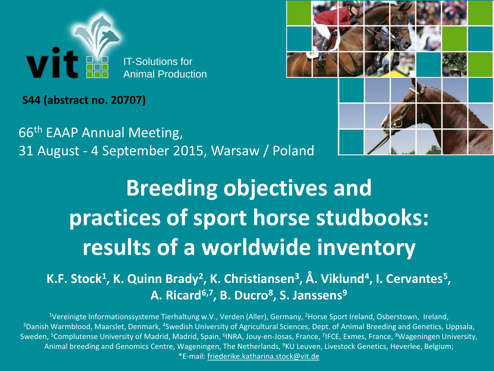

**S44 (abstract no. 20707)**

66th EAAP Annual Meeting, 31 August - 4 September 2015, Warsaw / Poland



# **Breeding objectives and practices of sport horse studbooks: results of a worldwide inventory**

#### $K$ **.F. Stock<sup>1</sup>, K. Quinn Brady<sup>2</sup>, K. Christiansen<sup>3</sup>, Å. Viklund<sup>4</sup>, I. Cervantes<sup>5</sup>, A. Ricard6,7, B. Ducro<sup>8</sup> , S. Janssens<sup>9</sup>**

<sup>1</sup>Vereinigte Informationssysteme Tierhaltung w.V., Verden (Aller), Germany, <sup>2</sup>Horse Sport Ireland, Osberstown, Ireland, <sup>3</sup>Danish Warmblood, Maarslet, Denmark, <sup>4</sup>Swedish University of Agricultural Sciences, Dept. of Animal Breeding and Genetics, Uppsala, Sweden, <sup>5</sup>Complutense University of Madrid, Madrid, Spain, <sup>6</sup>INRA, Jouy-en-Josas, France, <sup>7</sup>IFCE, Exmes, France, <sup>8</sup>Wageningen University, Animal breeding and Genomics Centre, Wageningen, The Netherlands, <sup>9</sup>KU Leuven, Livestock Genetics, Heverlee, Belgium; \*E-mail: friederike.katharina.stock@vit.de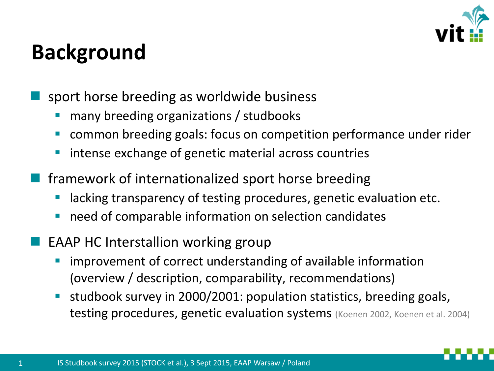

### **Background**

- sport horse breeding as worldwide business
	- many breeding organizations / studbooks
	- common breeding goals: focus on competition performance under rider
	- intense exchange of genetic material across countries
- framework of internationalized sport horse breeding
	- lacking transparency of testing procedures, genetic evaluation etc.
	- need of comparable information on selection candidates
- EAAP HC Interstallion working group
	- improvement of correct understanding of available information (overview / description, comparability, recommendations)
	- studbook survey in 2000/2001: population statistics, breeding goals, testing procedures, genetic evaluation systems (Koenen 2002, Koenen et al. 2004)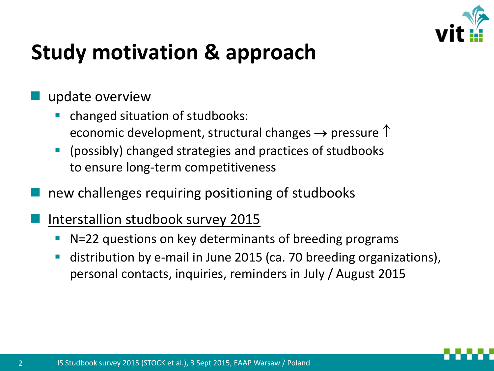

### **Study motivation & approach**

#### update overview

- changed situation of studbooks: economic development, structural changes  $\rightarrow$  pressure  $\uparrow$
- (possibly) changed strategies and practices of studbooks to ensure long-term competitiveness
- new challenges requiring positioning of studbooks
- Interstallion studbook survey 2015
	- N=22 questions on key determinants of breeding programs
	- distribution by e-mail in June 2015 (ca. 70 breeding organizations), personal contacts, inquiries, reminders in July / August 2015

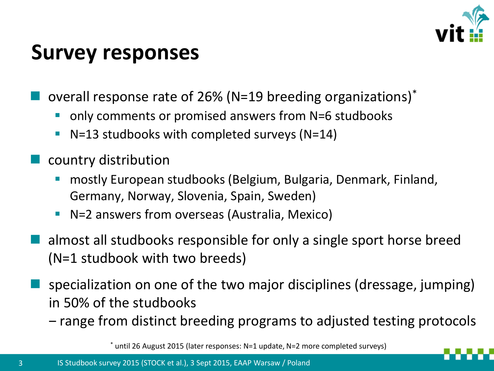

#### **Survey responses**

- overall response rate of 26% (N=19 breeding organizations)\*
	- only comments or promised answers from N=6 studbooks
	- $\blacksquare$  N=13 studbooks with completed surveys (N=14)
- country distribution
	- mostly European studbooks (Belgium, Bulgaria, Denmark, Finland, Germany, Norway, Slovenia, Spain, Sweden)
	- N=2 answers from overseas (Australia, Mexico)
- almost all studbooks responsible for only a single sport horse breed (N=1 studbook with two breeds)
- specialization on one of the two major disciplines (dressage, jumping) in 50% of the studbooks
	- ‒ range from distinct breeding programs to adjusted testing protocols

\* until 26 August 2015 (later responses: N=1 update, N=2 more completed surveys)

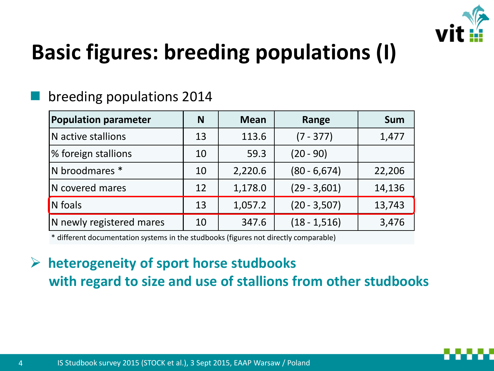

### **Basic figures: breeding populations (I)**

#### breeding populations 2014

| <b>Population parameter</b> | N  | <b>Mean</b> | Range           | <b>Sum</b> |  |
|-----------------------------|----|-------------|-----------------|------------|--|
| N active stallions          | 13 | 113.6       | $(7 - 377)$     | 1,477      |  |
| % foreign stallions         | 10 | 59.3        | $(20 - 90)$     |            |  |
| N broodmares *              | 10 | 2,220.6     | $(80 - 6, 674)$ | 22,206     |  |
| N covered mares             | 12 | 1,178.0     | $(29 - 3,601)$  | 14,136     |  |
| N foals                     | 13 | 1,057.2     | $(20 - 3, 507)$ | 13,743     |  |
| N newly registered mares    | 10 | 347.6       | $(18 - 1, 516)$ | 3,476      |  |

\* different documentation systems in the studbooks (figures not directly comparable)

#### **heterogeneity of sport horse studbooks with regard to size and use of stallions from other studbooks**

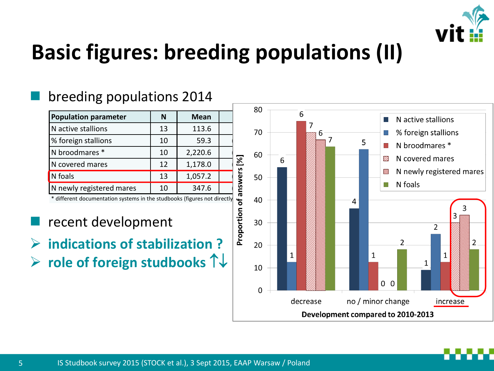

### **Basic figures: breeding populations (II)**

#### breeding populations 2014

|                                                                          |           | 80          |  |                |    |   |   |   |
|--------------------------------------------------------------------------|-----------|-------------|--|----------------|----|---|---|---|
| <b>Population parameter</b>                                              | N         | <b>Mean</b> |  |                |    |   | h |   |
| N active stallions                                                       | 13        | 113.6       |  |                | 70 |   |   | 7 |
| % foreign stallions                                                      | 10        | 59.3        |  |                |    |   |   |   |
| N broodmares *                                                           | 10        | 2,220.6     |  |                | 60 |   |   |   |
| N covered mares                                                          | 12        | 1,178.0     |  |                |    | 6 |   |   |
| N foals                                                                  | 13        | 1,057.2     |  | of answers [%] | 50 |   |   |   |
| N newly registered mares                                                 | 10        | 347.6       |  |                |    |   |   |   |
| * different documentation systems in the studbooks (figures not directly |           | 40          |  |                |    |   |   |   |
| recent development                                                       | roportion | 30          |  |                |    |   |   |   |
| indications of stabilization                                             |           | חר          |  |                |    |   |   |   |

- recent development
- **indications of stabilization ? role of foreign studbooks**

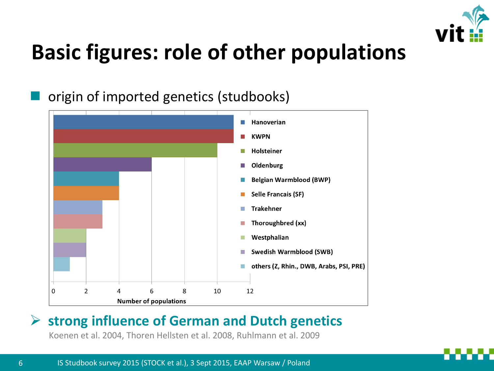

### **Basic figures: role of other populations**

#### origin of imported genetics (studbooks)



#### **strong influence of German and Dutch genetics**

Koenen et al. 2004, Thoren Hellsten et al. 2008, Ruhlmann et al. 2009

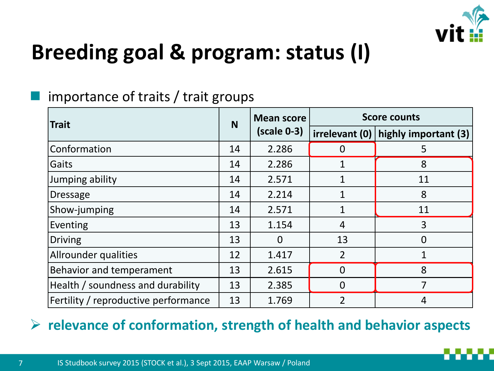

### **Breeding goal & program: status (I)**

#### importance of traits / trait groups

| <b>Trait</b>                         |    | <b>Mean score</b> | <b>Score counts</b> |                      |  |  |
|--------------------------------------|----|-------------------|---------------------|----------------------|--|--|
|                                      |    | $(scale 0-3)$     | irrelevant (0)      | highly important (3) |  |  |
| Conformation                         | 14 | 2.286             |                     | 5                    |  |  |
| Gaits                                | 14 | 2.286             | $\mathbf{1}$        | 8                    |  |  |
| Jumping ability                      | 14 | 2.571             |                     | 11                   |  |  |
| <b>Dressage</b>                      | 14 | 2.214             | $\mathbf 1$         | 8                    |  |  |
| Show-jumping                         | 14 | 2.571             | $\mathbf{1}$        | 11                   |  |  |
| Eventing                             | 13 | 1.154             | 4                   | 3                    |  |  |
| <b>Driving</b>                       | 13 | $\Omega$          | 13                  | $\overline{0}$       |  |  |
| Allrounder qualities                 | 12 | 1.417             | $\overline{2}$      |                      |  |  |
| Behavior and temperament             | 13 | 2.615             | $\Omega$            | 8                    |  |  |
| Health / soundness and durability    | 13 | 2.385             | $\Omega$            | 7                    |  |  |
| Fertility / reproductive performance | 13 | 1.769             | $\overline{2}$      | 4                    |  |  |

#### **relevance of conformation, strength of health and behavior aspects**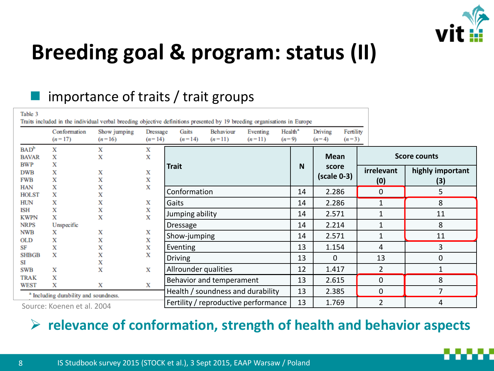

### **Breeding goal & program: status (II)**

#### importance of traits / trait groups

| Table 3                               |                                                       | Traits included in the individual verbal breeding objective definitions presented by 19 breeding organisations in Europe |                             |                                                                    |  |                                      |  |                                            |                        |  |                   |                         |
|---------------------------------------|-------------------------------------------------------|--------------------------------------------------------------------------------------------------------------------------|-----------------------------|--------------------------------------------------------------------|--|--------------------------------------|--|--------------------------------------------|------------------------|--|-------------------|-------------------------|
|                                       | Conformation<br>$(n=17)$                              | Show jumping<br>$(n=16)$                                                                                                 | <b>Dressage</b><br>$(n=14)$ | Behaviour<br>Gaits<br>Eventing<br>$(n=14)$<br>$(n=11)$<br>$(n=11)$ |  | Health <sup>a</sup><br>$(n=9)$       |  | Fertility<br>Driving<br>$(n=4)$<br>$(n=3)$ |                        |  |                   |                         |
| $BAD^b$<br><b>BAVAR</b><br><b>BWP</b> | X<br>X<br>X                                           | X<br>X                                                                                                                   | X<br>Х                      |                                                                    |  |                                      |  |                                            | <b>Mean</b>            |  |                   | <b>Score counts</b>     |
| <b>DWB</b><br><b>FWB</b>              | Х<br>х                                                | Х<br>X                                                                                                                   | X<br>X                      | <b>Trait</b>                                                       |  |                                      |  | N                                          | score<br>$(scale 0-3)$ |  | irrelevant<br>(0) | highly important<br>(3) |
| <b>HAN</b><br><b>HOLST</b>            | X<br>Х                                                | X<br>х                                                                                                                   | X                           | Conformation                                                       |  |                                      |  | 14                                         | 2.286                  |  | 0                 | 5                       |
| <b>HUN</b>                            | X                                                     | Х                                                                                                                        | X                           | Gaits                                                              |  |                                      |  | 14                                         | 2.286                  |  | 1                 | 8                       |
| ISH<br><b>KWPN</b>                    | X<br>X                                                | X<br>X                                                                                                                   | Х<br>X                      | Jumping ability                                                    |  |                                      |  | 14                                         | 2.571                  |  | $\mathbf{1}$      | 11                      |
| <b>NRPS</b>                           | Unspecific                                            |                                                                                                                          |                             | <b>Dressage</b>                                                    |  |                                      |  | 14                                         | 2.214                  |  | 1                 | 8                       |
| <b>NWB</b><br><b>OLD</b>              | х<br>X                                                | X<br>X                                                                                                                   | Х<br>X                      | Show-jumping                                                       |  |                                      |  | 14                                         | 2.571                  |  | 1                 | 11                      |
| SF                                    | X                                                     | x                                                                                                                        | X                           | Eventing                                                           |  |                                      |  | 13                                         | 1.154                  |  | 4                 | 3                       |
| <b>SHBGB</b><br>SI                    | Х                                                     | x<br>X                                                                                                                   | X                           | <b>Driving</b>                                                     |  |                                      |  | 13                                         | 0                      |  | 13                | 0                       |
| <b>SWB</b>                            | X                                                     | X                                                                                                                        | х                           | Allrounder qualities                                               |  |                                      |  | 12                                         | 1.417                  |  | $\overline{2}$    | 1                       |
| <b>TRAK</b>                           | X                                                     |                                                                                                                          |                             | Behavior and temperament                                           |  |                                      |  | 13                                         | 2.615                  |  | 0                 | 8                       |
| WEST                                  | Х<br><sup>a</sup> Including durability and soundness. | X                                                                                                                        | х                           |                                                                    |  | Health / soundness and durability    |  | 13                                         | 2.385                  |  | 0                 | 7                       |
|                                       | Source: Koenen et al. 2004                            |                                                                                                                          |                             |                                                                    |  | Fertility / reproductive performance |  | 13                                         | 1.769                  |  | $\overline{2}$    | 4                       |

#### **relevance of conformation, strength of health and behavior aspects**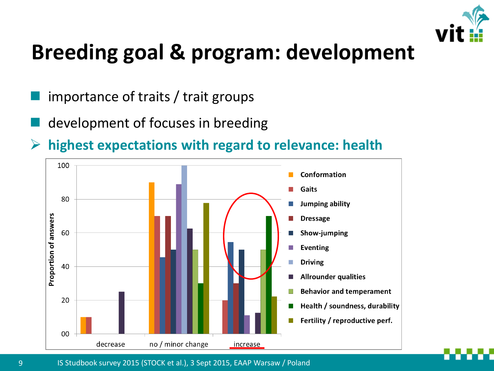

### **Breeding goal & program: development**

- importance of traits / trait groups
- development of focuses in breeding
- **highest expectations with regard to relevance: health**



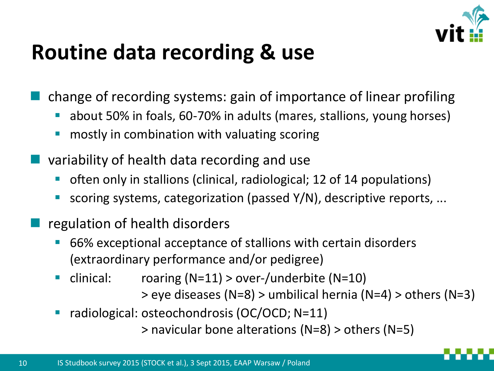

### **Routine data recording & use**

change of recording systems: gain of importance of linear profiling

- about 50% in foals, 60-70% in adults (mares, stallions, young horses)
- mostly in combination with valuating scoring
- variability of health data recording and use
	- often only in stallions (clinical, radiological; 12 of 14 populations)
	- scoring systems, categorization (passed Y/N), descriptive reports, ...
- regulation of health disorders
	- 66% exceptional acceptance of stallions with certain disorders (extraordinary performance and/or pedigree)
	- clinical: roaring (N=11) > over-/underbite (N=10)

> eye diseases (N=8) > umbilical hernia (N=4) > others (N=3)

■ radiological: osteochondrosis (OC/OCD; N=11)

> navicular bone alterations (N=8) > others (N=5)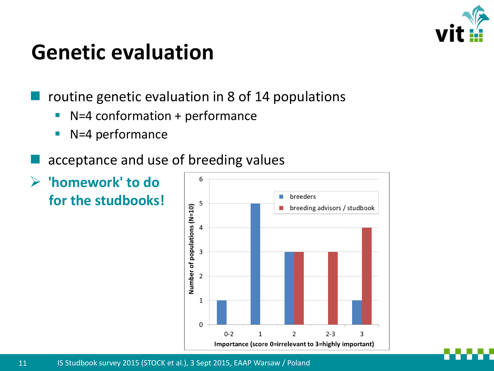

#### **Genetic evaluation**

routine genetic evaluation in 8 of 14 populations

- N=4 conformation + performance
- N=4 performance
- acceptance and use of breeding values
- **'homework' to do for the studbooks!**

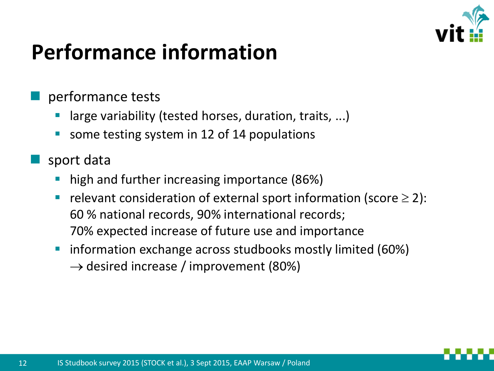

### **Performance information**

#### performance tests

- large variability (tested horses, duration, traits, ...)
- some testing system in 12 of 14 populations
- sport data
	- high and further increasing importance (86%)
	- relevant consideration of external sport information (score  $\geq 2$ ): 60 % national records, 90% international records; 70% expected increase of future use and importance
	- **•** information exchange across studbooks mostly limited (60%)  $\rightarrow$  desired increase / improvement (80%)

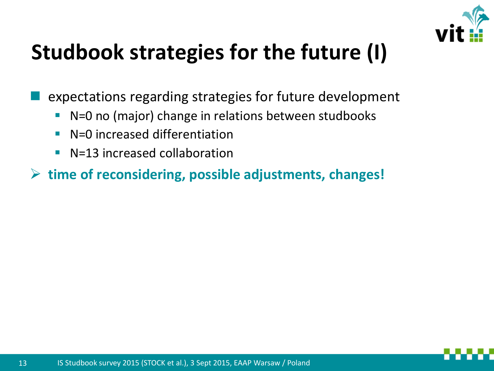

### **Studbook strategies for the future (I)**

expectations regarding strategies for future development

- N=0 no (major) change in relations between studbooks
- N=0 increased differentiation
- N=13 increased collaboration

**time of reconsidering, possible adjustments, changes!**

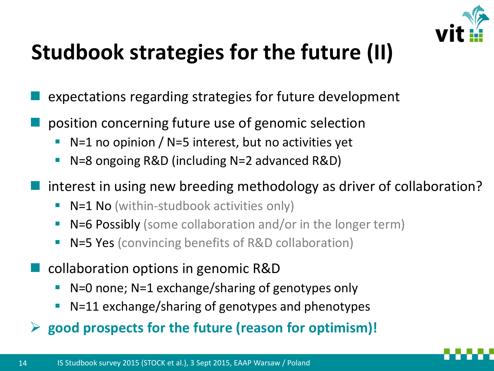

## **Studbook strategies for the future (II)**

- expectations regarding strategies for future development
- position concerning future use of genomic selection
	- $\blacksquare$  N=1 no opinion / N=5 interest, but no activities yet
	- N=8 ongoing R&D (including N=2 advanced R&D)
- interest in using new breeding methodology as driver of collaboration?
	- N=1 No (within-studbook activities only)
	- N=6 Possibly (some collaboration and/or in the longer term)
	- N=5 Yes (convincing benefits of R&D collaboration)
- collaboration options in genomic R&D
	- N=0 none; N=1 exchange/sharing of genotypes only
	- N=11 exchange/sharing of genotypes and phenotypes
- **good prospects for the future (reason for optimism)!**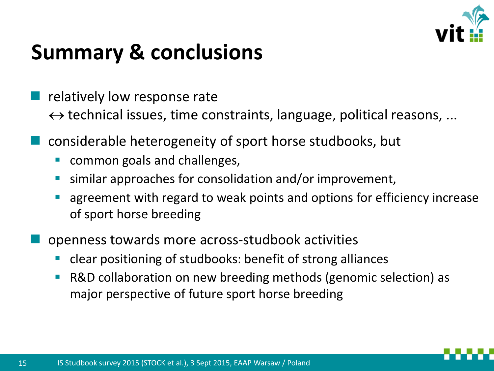

### **Summary & conclusions**

- relatively low response rate  $\leftrightarrow$  technical issues, time constraints, language, political reasons, ...
- considerable heterogeneity of sport horse studbooks, but
	- common goals and challenges,
	- similar approaches for consolidation and/or improvement,
	- agreement with regard to weak points and options for efficiency increase of sport horse breeding
- openness towards more across-studbook activities
	- clear positioning of studbooks: benefit of strong alliances
	- R&D collaboration on new breeding methods (genomic selection) as major perspective of future sport horse breeding

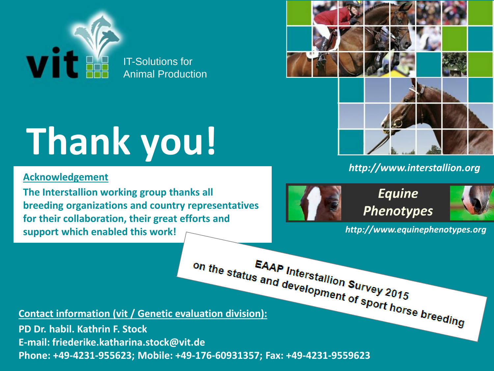

# **Thank you!**

#### **Acknowledgement**

**The Interstallion working group thanks all breeding organizations and country representatives for their collaboration, their great efforts and support which enabled this work!** 



#### *http://www.interstallion.org*



**Equine Phenotypes** 



*http://www.equinephenotypes.org*

**Contact information (vit / Genetic evaluation division):** EAAP Interstallion Survey 2015

**PD Dr. habil. Kathrin F. Stock E-mail: friederike.katharina.stock@vit.de Phone: +49-4231-955623; Mobile: +49-176-60931357; Fax: +49-4231-9559623**